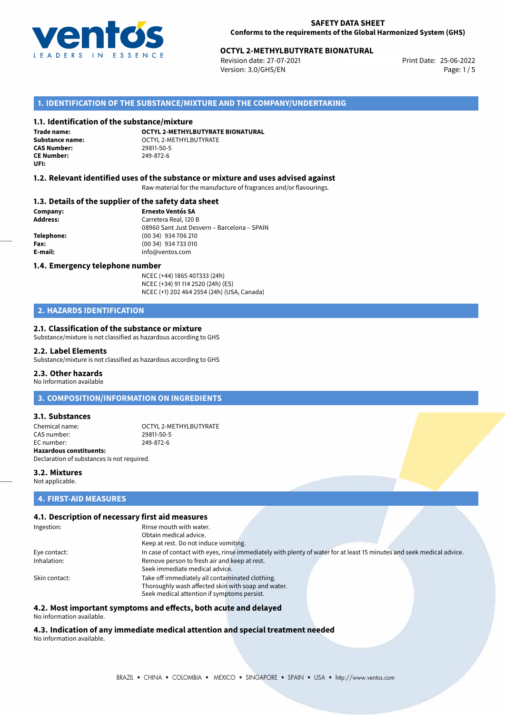

## **OCTYL 2-METHYLBUTYRATE BIONATURAL**<br>Revision date: 27-07-2021<br>Print Date: 25-06-2022

Revision date: 27-07-2021 Version: 3.0/GHS/EN Page: 1/5

#### **1. IDENTIFICATION OF THE SUBSTANCE/MIXTURE AND THE COMPANY/UNDERTAKING**

#### **1.1. Identification of the substance/mixture**

**Trade name: CAS Number: CE Number:** 249-872-6 **UFI:**

**OCTYL 2-METHYLBUTYRATE BIONATURAL Substance name:**  $OCTYL 2-METHYLBUTYRATE$ <br>**CAS Number:** 29811-50-5

#### **1.2. Relevant identified uses of the substance or mixture and uses advised against**

Raw material for the manufacture of fragrances and/or flavourings.

#### **1.3. Details of the supplier of the safety data sheet**

**Company: Ernesto Ventós SA Address:** Carretera Real, 120 B 08960 Sant Just Desvern – Barcelona – SPAIN **Telephone:** (00 34) 934 706 210 **Fax:** (00 34) 934 733 010 **E-mail:** info@ventos.com

#### **1.4. Emergency telephone number**

NCEC (+44) 1865 407333 (24h) NCEC (+34) 91 114 2520 (24h) (ES) NCEC (+1) 202 464 2554 (24h) (USA, Canada)

### **2. HAZARDS IDENTIFICATION**

#### **2.1. Classification of the substance or mixture**

Substance/mixture is not classified as hazardous according to GHS

#### **2.2. Label Elements**

Substance/mixture is not classified as hazardous according to GHS

#### **2.3. Other hazards**

No Information available

**3. COMPOSITION/INFORMATION ON INGREDIENTS**

#### **3.1. Substances**

Chemical name:  $\overline{O}$  OCTYL 2-METHYLBUTYRATE CAS number: EC number: 249-872-6 **Hazardous constituents:**

Declaration of substances is not required.

#### **3.2. Mixtures**

Not applicable.

### **4. FIRST-AID MEASURES**

#### **4.1. Description of necessary first aid measures**

| Ingestion:    | Rinse mouth with water.                                                                                               |
|---------------|-----------------------------------------------------------------------------------------------------------------------|
|               | Obtain medical advice.                                                                                                |
|               | Keep at rest. Do not induce vomiting.                                                                                 |
| Eye contact:  | In case of contact with eyes, rinse immediately with plenty of water for at least 15 minutes and seek medical advice. |
| Inhalation:   | Remove person to fresh air and keep at rest.                                                                          |
|               | Seek immediate medical advice.                                                                                        |
| Skin contact: | Take off immediately all contaminated clothing.                                                                       |
|               | Thoroughly wash affected skin with soap and water.                                                                    |
|               | Seek medical attention if symptoms persist.                                                                           |

## **4.2. Most important symptoms and effects, both acute and delayed**

No information available.

**4.3. Indication of any immediate medical attention and special treatment needed** No information available.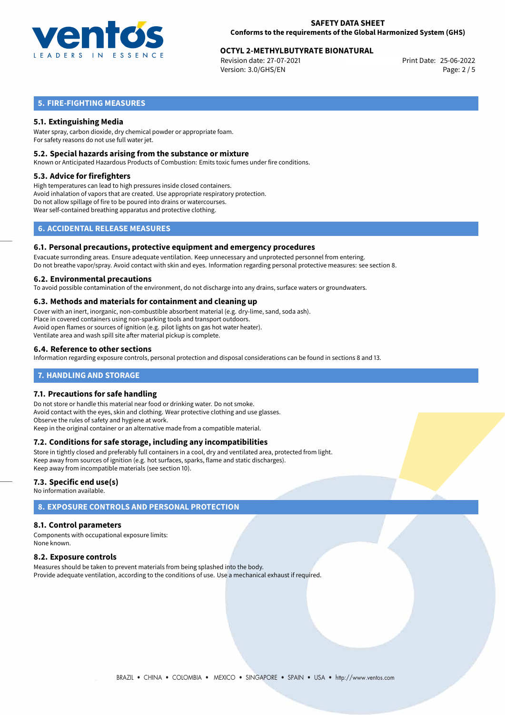

## **OCTYL 2-METHYLBUTYRATE BIONATURAL**<br>Revision date: 27-07-2021<br>Print Date: 25-06-2022

Revision date: 27-07-2021 Version: 3.0/GHS/EN Page: 2 / 5

## **5. FIRE-FIGHTING MEASURES**

#### **5.1. Extinguishing Media**

Water spray, carbon dioxide, dry chemical powder or appropriate foam. For safety reasons do not use full water jet.

#### **5.2. Special hazards arising from the substance or mixture**

Known or Anticipated Hazardous Products of Combustion: Emits toxic fumes under fire conditions.

#### **5.3. Advice for firefighters**

High temperatures can lead to high pressures inside closed containers. Avoid inhalation of vapors that are created. Use appropriate respiratory protection. Do not allow spillage of fire to be poured into drains or watercourses. Wear self-contained breathing apparatus and protective clothing.

## **6. ACCIDENTAL RELEASE MEASURES**

#### **6.1. Personal precautions, protective equipment and emergency procedures**

Evacuate surronding areas. Ensure adequate ventilation. Keep unnecessary and unprotected personnel from entering. Do not breathe vapor/spray. Avoid contact with skin and eyes. Information regarding personal protective measures: see section 8.

#### **6.2. Environmental precautions**

To avoid possible contamination of the environment, do not discharge into any drains, surface waters or groundwaters.

#### **6.3. Methods and materials for containment and cleaning up**

Cover with an inert, inorganic, non-combustible absorbent material (e.g. dry-lime, sand, soda ash). Place in covered containers using non-sparking tools and transport outdoors. Avoid open flames or sources of ignition (e.g. pilot lights on gas hot water heater). Ventilate area and wash spill site after material pickup is complete.

#### **6.4. Reference to other sections**

Information regarding exposure controls, personal protection and disposal considerations can be found in sections 8 and 13.

#### **7. HANDLING AND STORAGE**

#### **7.1. Precautions for safe handling**

Do not store or handle this material near food or drinking water. Do not smoke. Avoid contact with the eyes, skin and clothing. Wear protective clothing and use glasses. Observe the rules of safety and hygiene at work. Keep in the original container or an alternative made from a compatible material.

#### **7.2. Conditions for safe storage, including any incompatibilities**

Store in tightly closed and preferably full containers in a cool, dry and ventilated area, protected from light. Keep away from sources of ignition (e.g. hot surfaces, sparks, flame and static discharges). Keep away from incompatible materials (see section 10).

#### **7.3. Specific end use(s)**

No information available.

## **8. EXPOSURE CONTROLS AND PERSONAL PROTECTION**

#### **8.1. Control parameters**

Components with occupational exposure limits: None known.

#### **8.2. Exposure controls**

Measures should be taken to prevent materials from being splashed into the body. Provide adequate ventilation, according to the conditions of use. Use a mechanical exhaust if required.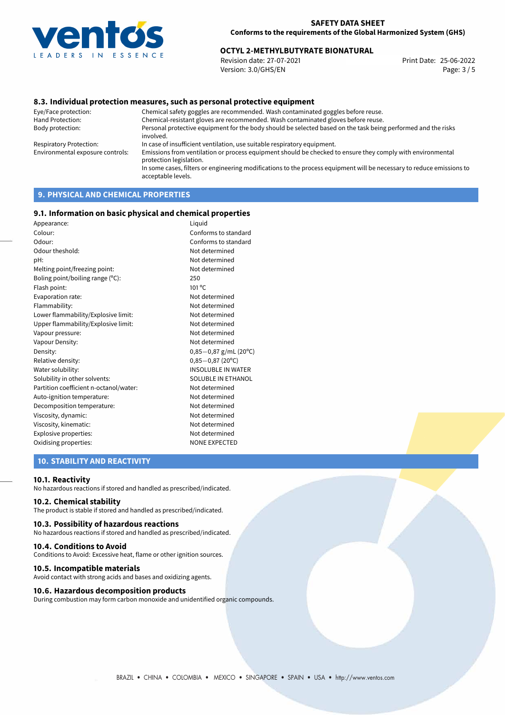

## **OCTYL 2-METHYLBUTYRATE BIONATURAL**<br>Revision date: 27-07-2021<br>Print Date: 25-06-2022

Revision date: 27-07-2021 Version: 3.0/GHS/EN Page: 3 / 5

#### **8.3. Individual protection measures, such as personal protective equipment**

Eye/Face protection: Chemical safety goggles are recommended. Wash contaminated goggles before reuse. Chemical-resistant gloves are recommended. Wash contaminated gloves before reuse. Body protection: Personal protective equipment for the body should be selected based on the task being performed and the risks involved. Respiratory Protection: In case of insufficient ventilation, use suitable respiratory equipment. Environmental exposure controls: Emissions from ventilation or process equipment should be checked to ensure they comply with environmental protection legislation. In some cases, filters or engineering modifications to the process equipment will be necessary to reduce emissions to acceptable levels.

## **9. PHYSICAL AND CHEMICAL PROPERTIES**

#### **9.1. Information on basic physical and chemical properties**

| Appearance:                            | Liquid                    |
|----------------------------------------|---------------------------|
| Colour:                                | Conforms to standard      |
| Odour:                                 | Conforms to standard      |
| Odour theshold:                        | Not determined            |
| pH:                                    | Not determined            |
| Melting point/freezing point:          | Not determined            |
| Boling point/boiling range (°C):       | 250                       |
| Flash point:                           | 101 °C                    |
| Evaporation rate:                      | Not determined            |
| Flammability:                          | Not determined            |
| Lower flammability/Explosive limit:    | Not determined            |
| Upper flammability/Explosive limit:    | Not determined            |
| Vapour pressure:                       | Not determined            |
| Vapour Density:                        | Not determined            |
| Density:                               | $0,85-0,87$ g/mL (20°C)   |
| Relative density:                      | $0,85-0,87(20^{\circ}C)$  |
| Water solubility:                      | <b>INSOLUBLE IN WATER</b> |
| Solubility in other solvents:          | <b>SOLUBLE IN ETHANOL</b> |
| Partition coefficient n-octanol/water: | Not determined            |
| Auto-ignition temperature:             | Not determined            |
| Decomposition temperature:             | Not determined            |
| Viscosity, dynamic:                    | Not determined            |
| Viscosity, kinematic:                  | Not determined            |
| Explosive properties:                  | Not determined            |
| Oxidising properties:                  | <b>NONE EXPECTED</b>      |
|                                        |                           |

### **10. STABILITY AND REACTIVITY**

#### **10.1. Reactivity**

No hazardous reactions if stored and handled as prescribed/indicated.

#### **10.2. Chemical stability**

The product is stable if stored and handled as prescribed/indicated.

#### **10.3. Possibility of hazardous reactions**

No hazardous reactions if stored and handled as prescribed/indicated.

#### **10.4. Conditions to Avoid**

Conditions to Avoid: Excessive heat, flame or other ignition sources.

#### **10.5. Incompatible materials**

Avoid contact with strong acids and bases and oxidizing agents.

#### **10.6. Hazardous decomposition products**

During combustion may form carbon monoxide and unidentified organic compounds.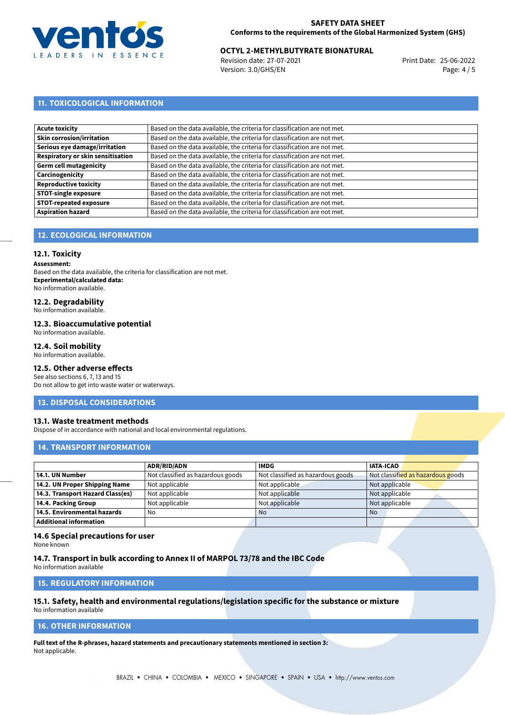

## **OCTYL 2-METHYLBUTYRATE BIONATURAL**<br>Revision date: 27-07-2021<br>Print Date: 25-06-2022

Revision date: 27-07-2021 Version: 3.0/GHS/EN Page: 4 / 5

## **11. TOXICOLOGICAL INFORMATION**

| Based on the data available, the criteria for classification are not met. |
|---------------------------------------------------------------------------|
| Based on the data available, the criteria for classification are not met. |
| Based on the data available, the criteria for classification are not met. |
| Based on the data available, the criteria for classification are not met. |
| Based on the data available, the criteria for classification are not met. |
| Based on the data available, the criteria for classification are not met. |
| Based on the data available, the criteria for classification are not met. |
| Based on the data available, the criteria for classification are not met. |
| Based on the data available, the criteria for classification are not met. |
| Based on the data available, the criteria for classification are not met. |
|                                                                           |

## **12. ECOLOGICAL INFORMATION**

#### **12.1. Toxicity**

**Assessment:**

Based on the data available, the criteria for classification are not met. **Experimental/calculated data:** No information available.

## **12.2. Degradability**

No information available.

#### **12.3. Bioaccumulative potential**

No information available.

#### **12.4. Soil mobility**

No information available.

### **12.5. Other adverse effects**

See also sections 6, 7, 13 and 15 Do not allow to get into waste water or waterways.

#### **13. DISPOSAL CONSIDERATIONS**

#### **13.1. Waste treatment methods**

Dispose of in accordance with national and local environmental regulations.

#### **14. TRANSPORT INFORMATION**

|                                  | <b>ADR/RID/ADN</b>                | <b>IMDG</b>                       | <b>IATA-ICAO</b>                  |
|----------------------------------|-----------------------------------|-----------------------------------|-----------------------------------|
| 14.1. UN Number                  | Not classified as hazardous goods | Not classified as hazardous goods | Not classified as hazardous goods |
| 14.2. UN Proper Shipping Name    | Not applicable                    | Not applicable                    | Not applicable                    |
| 14.3. Transport Hazard Class(es) | Not applicable                    | Not applicable                    | Not applicable                    |
| 14.4. Packing Group              | Not applicable                    | Not applicable                    | Not applicable                    |
| 14.5. Environmental hazards      | No                                | <b>No</b>                         | No                                |
| <b>Additional information</b>    |                                   |                                   |                                   |

#### **14.6 Special precautions for user**

None known

#### **14.7. Transport in bulk according to Annex II of MARPOL 73/78 and the IBC Code**

No information available

## **15. REGULATORY INFORMATION**

## **15.1. Safety, health and environmental regulations/legislation specific for the substance or mixture**

No information available

## **16. OTHER INFORMATION**

**Full text of the R-phrases, hazard statements and precautionary statements mentioned in section 3:** Not applicable.